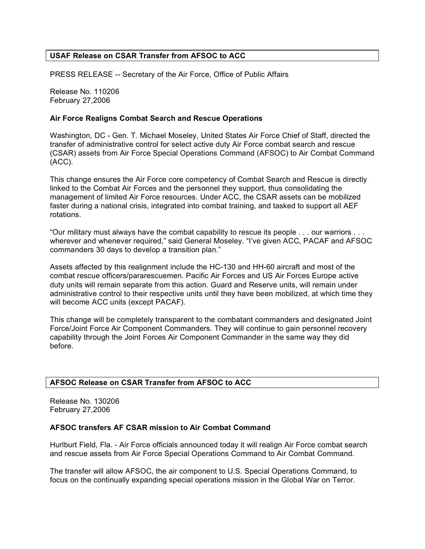# **USAF Release on CSAR Transfer from AFSOC to ACC**

PRESS RELEASE -- Secretary of the Air Force, Office of Public Affairs

Release No. 110206 February 27,2006

#### **Air Force Realigns Combat Search and Rescue Operations**

Washington, DC - Gen. T. Michael Moseley, United States Air Force Chief of Staff, directed the transfer of administrative control for select active duty Air Force combat search and rescue (CSAR) assets from Air Force Special Operations Command (AFSOC) to Air Combat Command (ACC).

This change ensures the Air Force core competency of Combat Search and Rescue is directly linked to the Combat Air Forces and the personnel they support, thus consolidating the management of limited Air Force resources. Under ACC, the CSAR assets can be mobilized faster during a national crisis, integrated into combat training, and tasked to support all AEF rotations.

"Our military must always have the combat capability to rescue its people . . . our warriors . . . wherever and whenever required," said General Moseley. "I've given ACC, PACAF and AFSOC commanders 30 days to develop a transition plan."

Assets affected by this realignment include the HC-130 and HH-60 aircraft and most of the combat rescue officers/pararescuemen. Pacific Air Forces and US Air Forces Europe active duty units will remain separate from this action. Guard and Reserve units, will remain under administrative control to their respective units until they have been mobilized, at which time they will become ACC units (except PACAF).

This change will be completely transparent to the combatant commanders and designated Joint Force/Joint Force Air Component Commanders. They will continue to gain personnel recovery capability through the Joint Forces Air Component Commander in the same way they did before.

# **AFSOC Release on CSAR Transfer from AFSOC to ACC**

Release No. 130206 February 27,2006

# **AFSOC transfers AF CSAR mission to Air Combat Command**

Hurlburt Field, Fla. - Air Force officials announced today it will realign Air Force combat search and rescue assets from Air Force Special Operations Command to Air Combat Command.

The transfer will allow AFSOC, the air component to U.S. Special Operations Command, to focus on the continually expanding special operations mission in the Global War on Terror.